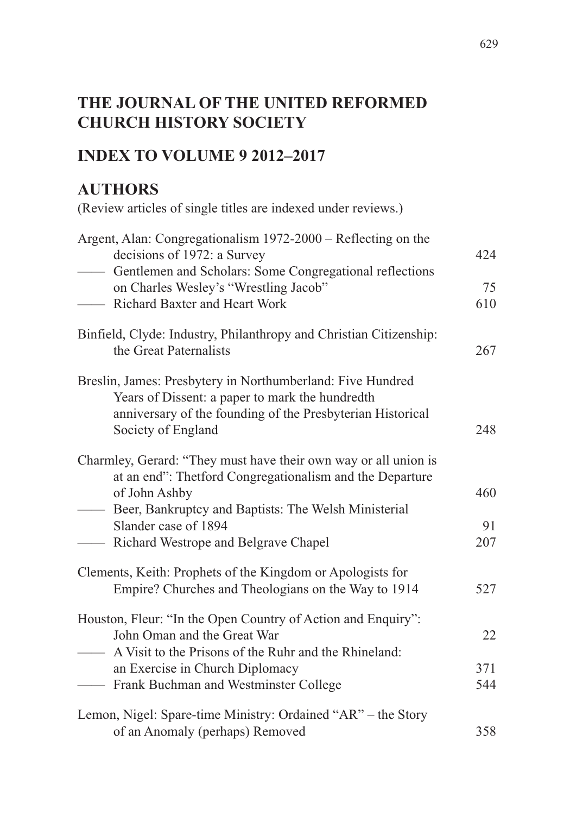# **THE JOURNAL OF THE UNITED REFORMED CHURCH HISTORY SOCIETY**

## **INDEX TO VOLUME 9 2012–2017**

## **AUTHORS**

(Review articles of single titles are indexed under reviews.)

| Argent, Alan: Congregationalism 1972-2000 - Reflecting on the<br>decisions of 1972: a Survey                                                                                                      | 424 |
|---------------------------------------------------------------------------------------------------------------------------------------------------------------------------------------------------|-----|
| Gentlemen and Scholars: Some Congregational reflections<br>$\overline{\phantom{a}}$<br>on Charles Wesley's "Wrestling Jacob"                                                                      | 75  |
| Richard Baxter and Heart Work                                                                                                                                                                     | 610 |
|                                                                                                                                                                                                   |     |
| Binfield, Clyde: Industry, Philanthropy and Christian Citizenship:<br>the Great Paternalists                                                                                                      | 267 |
| Breslin, James: Presbytery in Northumberland: Five Hundred<br>Years of Dissent: a paper to mark the hundredth<br>anniversary of the founding of the Presbyterian Historical<br>Society of England | 248 |
| Charmley, Gerard: "They must have their own way or all union is                                                                                                                                   |     |
| at an end": Thetford Congregationalism and the Departure                                                                                                                                          |     |
| of John Ashby<br>Beer, Bankruptcy and Baptists: The Welsh Ministerial<br>$\overline{\phantom{a}}$                                                                                                 | 460 |
| Slander case of 1894                                                                                                                                                                              | 91  |
| - Richard Westrope and Belgrave Chapel                                                                                                                                                            | 207 |
| Clements, Keith: Prophets of the Kingdom or Apologists for                                                                                                                                        |     |
| Empire? Churches and Theologians on the Way to 1914                                                                                                                                               | 527 |
| Houston, Fleur: "In the Open Country of Action and Enquiry":                                                                                                                                      |     |
| John Oman and the Great War                                                                                                                                                                       | 22  |
| - A Visit to the Prisons of the Ruhr and the Rhineland:                                                                                                                                           |     |
| an Exercise in Church Diplomacy                                                                                                                                                                   | 371 |
| - Frank Buchman and Westminster College                                                                                                                                                           | 544 |
| Lemon, Nigel: Spare-time Ministry: Ordained "AR" – the Story                                                                                                                                      |     |
| of an Anomaly (perhaps) Removed                                                                                                                                                                   | 358 |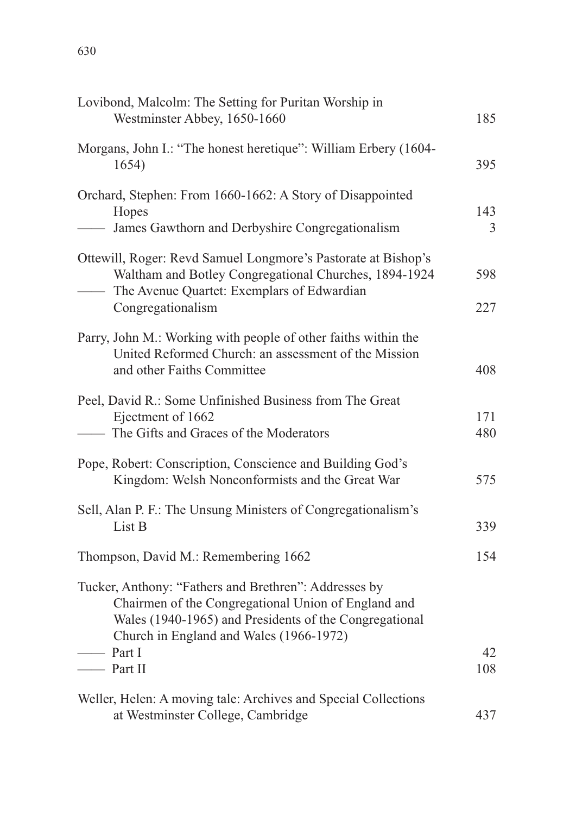| Lovibond, Malcolm: The Setting for Puritan Worship in<br>Westminster Abbey, 1650-1660                                                                                                                             | 185        |
|-------------------------------------------------------------------------------------------------------------------------------------------------------------------------------------------------------------------|------------|
| Morgans, John I.: "The honest heretique": William Erbery (1604-<br>1654)                                                                                                                                          | 395        |
| Orchard, Stephen: From 1660-1662: A Story of Disappointed<br>Hopes<br>- James Gawthorn and Derbyshire Congregationalism                                                                                           | 143<br>3   |
| Ottewill, Roger: Revd Samuel Longmore's Pastorate at Bishop's<br>Waltham and Botley Congregational Churches, 1894-1924<br>The Avenue Quartet: Exemplars of Edwardian<br>Congregationalism                         | 598<br>227 |
| Parry, John M.: Working with people of other faiths within the<br>United Reformed Church: an assessment of the Mission<br>and other Faiths Committee                                                              | 408        |
| Peel, David R.: Some Unfinished Business from The Great<br>Ejectment of 1662<br>- The Gifts and Graces of the Moderators                                                                                          | 171<br>480 |
| Pope, Robert: Conscription, Conscience and Building God's<br>Kingdom: Welsh Nonconformists and the Great War                                                                                                      | 575        |
| Sell, Alan P. F.: The Unsung Ministers of Congregationalism's<br>List B                                                                                                                                           | 339        |
| Thompson, David M.: Remembering 1662                                                                                                                                                                              | 154        |
| Tucker, Anthony: "Fathers and Brethren": Addresses by<br>Chairmen of the Congregational Union of England and<br>Wales (1940-1965) and Presidents of the Congregational<br>Church in England and Wales (1966-1972) |            |
| $\frac{1}{\sqrt{2}}$ Part I<br>$\frac{1}{\sqrt{1}}$ Part II                                                                                                                                                       | 42<br>108  |
| Weller, Helen: A moving tale: Archives and Special Collections<br>at Westminster College, Cambridge                                                                                                               | 437        |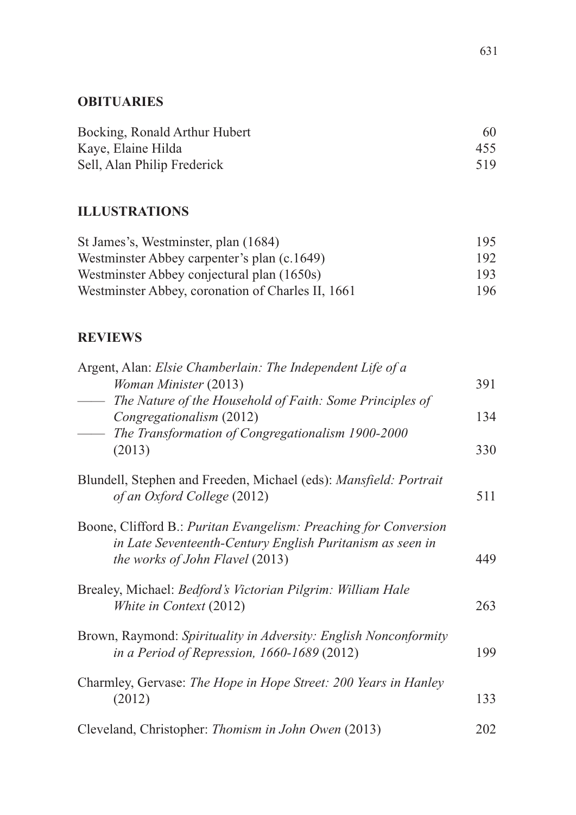#### **OBITUARIES**

| Bocking, Ronald Arthur Hubert | 60  |
|-------------------------------|-----|
| Kaye, Elaine Hilda            | 455 |
| Sell, Alan Philip Frederick   | 519 |

#### **ILLUSTRATIONS**

| St James's, Westminster, plan (1684)              | 195. |
|---------------------------------------------------|------|
| Westminster Abbey carpenter's plan (c.1649)       | 192. |
| Westminster Abbey conjectural plan (1650s)        | 193. |
| Westminster Abbey, coronation of Charles II, 1661 | 196. |

### **REVIEWS**

| Argent, Alan: Elsie Chamberlain: The Independent Life of a                                                      |     |
|-----------------------------------------------------------------------------------------------------------------|-----|
| Woman Minister (2013)                                                                                           | 391 |
| The Nature of the Household of Faith: Some Principles of                                                        |     |
| Congregationalism (2012)                                                                                        | 134 |
| The Transformation of Congregationalism 1900-2000                                                               |     |
| (2013)                                                                                                          | 330 |
| Blundell, Stephen and Freeden, Michael (eds): Mansfield: Portrait<br>of an Oxford College (2012)                | 511 |
| Boone, Clifford B.: Puritan Evangelism: Preaching for Conversion                                                |     |
| in Late Seventeenth-Century English Puritanism as seen in<br><i>the works of John Flavel</i> (2013)             | 449 |
|                                                                                                                 |     |
| Brealey, Michael: Bedford's Victorian Pilgrim: William Hale<br>White in Context (2012)                          | 263 |
|                                                                                                                 |     |
| Brown, Raymond: Spirituality in Adversity: English Nonconformity<br>in a Period of Repression, 1660-1689 (2012) | 199 |
| Charmley, Gervase: The Hope in Hope Street: 200 Years in Hanley                                                 |     |
| (2012)                                                                                                          | 133 |
| Cleveland, Christopher: Thomism in John Owen (2013)                                                             | 202 |
|                                                                                                                 |     |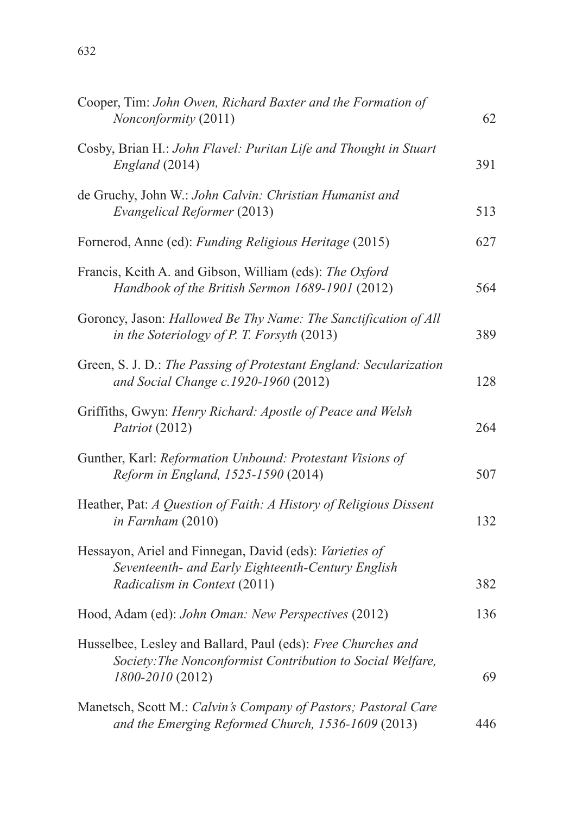| Cooper, Tim: John Owen, Richard Baxter and the Formation of<br>Nonconformity (2011)                                                            | 62  |
|------------------------------------------------------------------------------------------------------------------------------------------------|-----|
| Cosby, Brian H.: John Flavel: Puritan Life and Thought in Stuart<br>England (2014)                                                             | 391 |
| de Gruchy, John W.: John Calvin: Christian Humanist and<br>Evangelical Reformer (2013)                                                         | 513 |
| Fornerod, Anne (ed): Funding Religious Heritage (2015)                                                                                         | 627 |
| Francis, Keith A. and Gibson, William (eds): The Oxford<br>Handbook of the British Sermon 1689-1901 (2012)                                     | 564 |
| Goroncy, Jason: Hallowed Be Thy Name: The Sanctification of All<br>in the Soteriology of P. T. Forsyth (2013)                                  | 389 |
| Green, S. J. D.: The Passing of Protestant England: Secularization<br>and Social Change c.1920-1960 (2012)                                     | 128 |
| Griffiths, Gwyn: Henry Richard: Apostle of Peace and Welsh<br>Patriot (2012)                                                                   | 264 |
| Gunther, Karl: Reformation Unbound: Protestant Visions of<br>Reform in England, 1525-1590 (2014)                                               | 507 |
| Heather, Pat: A Question of Faith: A History of Religious Dissent<br>in Farnham (2010)                                                         | 132 |
| Hessayon, Ariel and Finnegan, David (eds): Varieties of<br>Seventeenth- and Early Eighteenth-Century English<br>Radicalism in Context (2011)   | 382 |
| Hood, Adam (ed): John Oman: New Perspectives (2012)                                                                                            | 136 |
| Husselbee, Lesley and Ballard, Paul (eds): Free Churches and<br>Society: The Nonconformist Contribution to Social Welfare,<br>1800-2010 (2012) | 69  |
| Manetsch, Scott M.: Calvin's Company of Pastors; Pastoral Care<br>and the Emerging Reformed Church, 1536-1609 (2013)                           | 446 |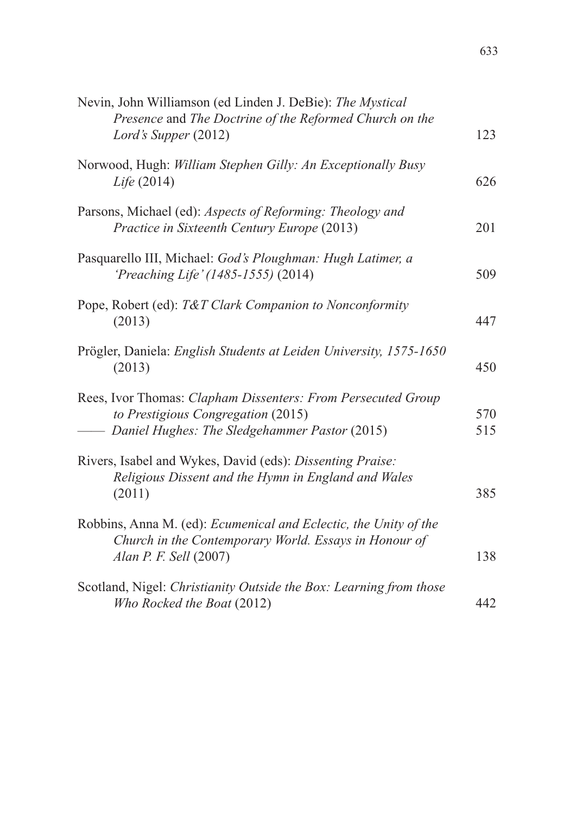| Nevin, John Williamson (ed Linden J. DeBie): The Mystical<br>Presence and The Doctrine of the Reformed Church on the                                  |            |
|-------------------------------------------------------------------------------------------------------------------------------------------------------|------------|
| Lord's Supper (2012)                                                                                                                                  | 123        |
| Norwood, Hugh: William Stephen Gilly: An Exceptionally Busy<br>Life (2014)                                                                            | 626        |
| Parsons, Michael (ed): Aspects of Reforming: Theology and<br>Practice in Sixteenth Century Europe (2013)                                              | 201        |
| Pasquarello III, Michael: God's Ploughman: Hugh Latimer, a<br>'Preaching Life' (1485-1555) (2014)                                                     | 509        |
| Pope, Robert (ed): T&T Clark Companion to Nonconformity<br>(2013)                                                                                     | 447        |
| Prögler, Daniela: English Students at Leiden University, 1575-1650<br>(2013)                                                                          | 450        |
| Rees, Ivor Thomas: Clapham Dissenters: From Persecuted Group<br>to Prestigious Congregation (2015)<br>- Daniel Hughes: The Sledgehammer Pastor (2015) | 570<br>515 |
| Rivers, Isabel and Wykes, David (eds): Dissenting Praise:<br>Religious Dissent and the Hymn in England and Wales                                      |            |
| (2011)                                                                                                                                                | 385        |
| Robbins, Anna M. (ed): Ecumenical and Eclectic, the Unity of the<br>Church in the Contemporary World. Essays in Honour of<br>Alan P. F. Sell (2007)   | 138        |
| Scotland, Nigel: Christianity Outside the Box: Learning from those<br>Who Rocked the Boat (2012)                                                      | 442        |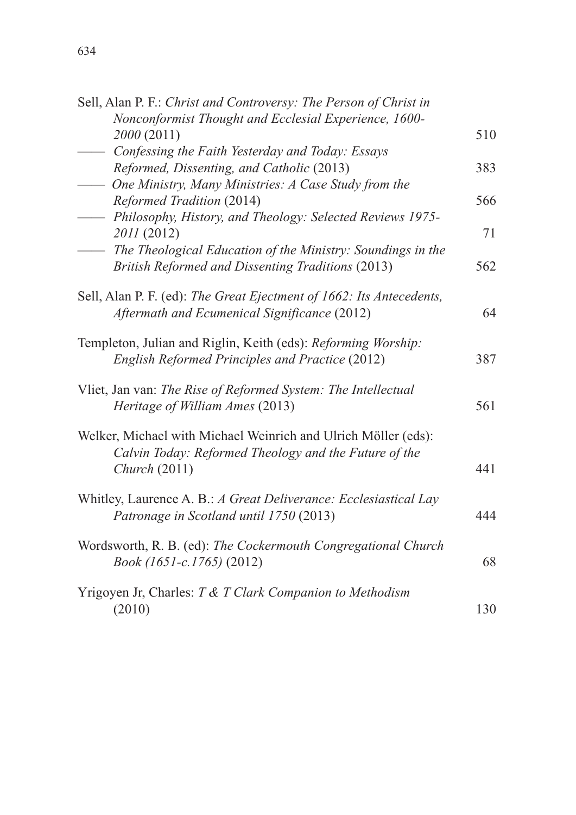| Sell, Alan P. F.: Christ and Controversy: The Person of Christ in<br>Nonconformist Thought and Ecclesial Experience, 1600-               |     |
|------------------------------------------------------------------------------------------------------------------------------------------|-----|
| 2000 (2011)                                                                                                                              | 510 |
| - Confessing the Faith Yesterday and Today: Essays<br>Reformed, Dissenting, and Catholic (2013)                                          | 383 |
| - One Ministry, Many Ministries: A Case Study from the                                                                                   |     |
| Reformed Tradition (2014)                                                                                                                | 566 |
| - Philosophy, History, and Theology: Selected Reviews 1975-<br>2011 (2012)                                                               | 71  |
| - The Theological Education of the Ministry: Soundings in the<br>British Reformed and Dissenting Traditions (2013)                       | 562 |
| Sell, Alan P. F. (ed): The Great Ejectment of 1662: Its Antecedents,<br>Aftermath and Ecumenical Significance (2012)                     | 64  |
| Templeton, Julian and Riglin, Keith (eds): Reforming Worship:<br>English Reformed Principles and Practice (2012)                         | 387 |
| Vliet, Jan van: The Rise of Reformed System: The Intellectual<br>Heritage of William Ames (2013)                                         | 561 |
| Welker, Michael with Michael Weinrich and Ulrich Möller (eds):<br>Calvin Today: Reformed Theology and the Future of the<br>Church (2011) | 441 |
|                                                                                                                                          |     |
| Whitley, Laurence A. B.: A Great Deliverance: Ecclesiastical Lay<br>Patronage in Scotland until 1750 (2013)                              | 444 |
| Wordsworth, R. B. (ed): The Cockermouth Congregational Church<br>Book (1651-c.1765) (2012)                                               | 68  |
| Yrigoyen Jr, Charles: T & T Clark Companion to Methodism                                                                                 |     |
| (2010)                                                                                                                                   | 130 |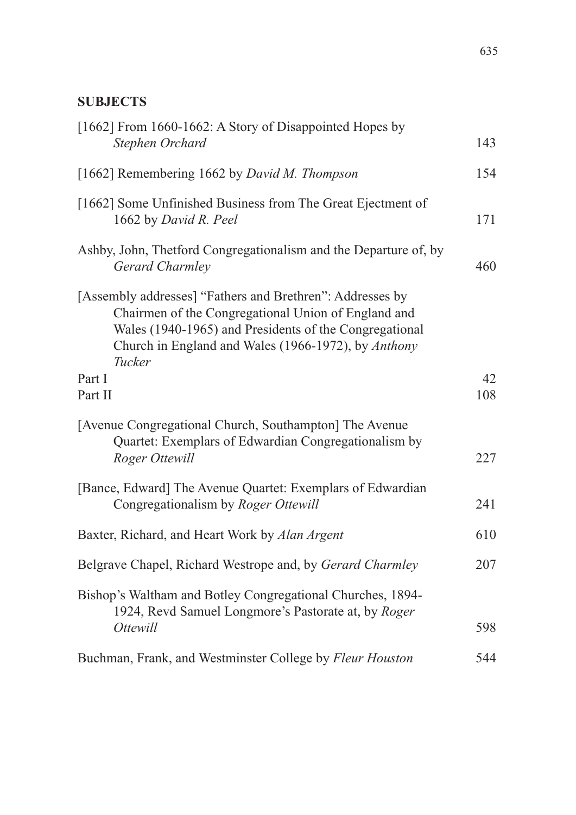| [1662] From 1660-1662: A Story of Disappointed Hopes by<br>Stephen Orchard                                                                                                                                                                  | 143       |
|---------------------------------------------------------------------------------------------------------------------------------------------------------------------------------------------------------------------------------------------|-----------|
|                                                                                                                                                                                                                                             |           |
| [1662] Remembering 1662 by David M. Thompson                                                                                                                                                                                                | 154       |
| [1662] Some Unfinished Business from The Great Ejectment of<br>1662 by David R. Peel                                                                                                                                                        | 171       |
| Ashby, John, Thetford Congregationalism and the Departure of, by<br>Gerard Charmley                                                                                                                                                         | 460       |
| [Assembly addresses] "Fathers and Brethren": Addresses by<br>Chairmen of the Congregational Union of England and<br>Wales (1940-1965) and Presidents of the Congregational<br>Church in England and Wales (1966-1972), by Anthony<br>Tucker |           |
| Part I<br>Part II                                                                                                                                                                                                                           | 42<br>108 |
| [Avenue Congregational Church, Southampton] The Avenue<br>Quartet: Exemplars of Edwardian Congregationalism by<br>Roger Ottewill                                                                                                            | 227       |
| [Bance, Edward] The Avenue Quartet: Exemplars of Edwardian<br>Congregationalism by Roger Ottewill                                                                                                                                           | 241       |
| Baxter, Richard, and Heart Work by Alan Argent                                                                                                                                                                                              | 610       |
| Belgrave Chapel, Richard Westrope and, by Gerard Charmley                                                                                                                                                                                   | 207       |
| Bishop's Waltham and Botley Congregational Churches, 1894-<br>1924, Revd Samuel Longmore's Pastorate at, by Roger<br><i>Ottewill</i>                                                                                                        | 598       |
| Buchman, Frank, and Westminster College by Fleur Houston                                                                                                                                                                                    | 544       |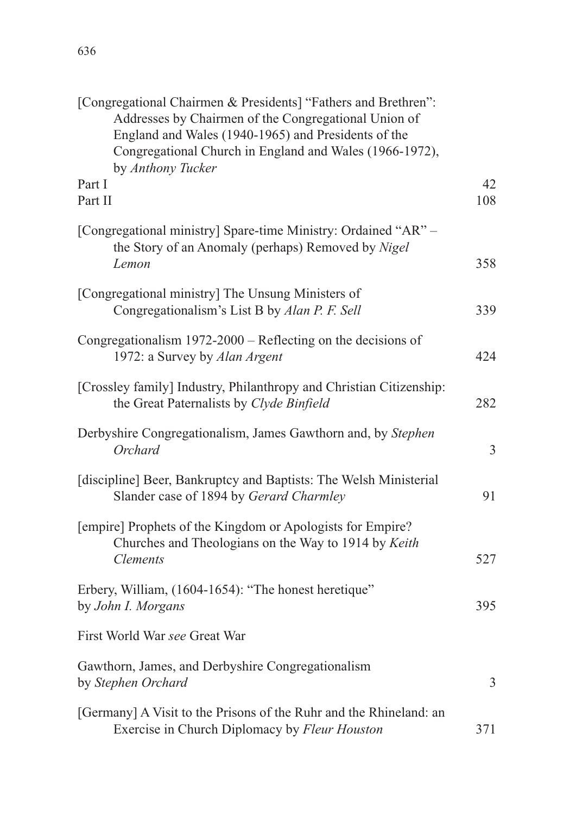| 636 |  |  |  |
|-----|--|--|--|
|     |  |  |  |
|     |  |  |  |

| [Congregational Chairmen & Presidents] "Fathers and Brethren":<br>Addresses by Chairmen of the Congregational Union of<br>England and Wales (1940-1965) and Presidents of the<br>Congregational Church in England and Wales (1966-1972),<br>by Anthony Tucker |           |
|---------------------------------------------------------------------------------------------------------------------------------------------------------------------------------------------------------------------------------------------------------------|-----------|
| Part I<br>Part II                                                                                                                                                                                                                                             | 42<br>108 |
| [Congregational ministry] Spare-time Ministry: Ordained "AR" -<br>the Story of an Anomaly (perhaps) Removed by Nigel<br>Lemon                                                                                                                                 | 358       |
| [Congregational ministry] The Unsung Ministers of<br>Congregationalism's List B by Alan P. F. Sell                                                                                                                                                            | 339       |
| Congregationalism $1972-2000$ – Reflecting on the decisions of<br>1972: a Survey by Alan Argent                                                                                                                                                               | 424       |
| [Crossley family] Industry, Philanthropy and Christian Citizenship:<br>the Great Paternalists by Clyde Binfield                                                                                                                                               | 282       |
| Derbyshire Congregationalism, James Gawthorn and, by Stephen<br>Orchard                                                                                                                                                                                       | 3         |
| [discipline] Beer, Bankruptcy and Baptists: The Welsh Ministerial<br>Slander case of 1894 by Gerard Charmley                                                                                                                                                  | 91        |
| [empire] Prophets of the Kingdom or Apologists for Empire?<br>Churches and Theologians on the Way to 1914 by Keith<br><i>Clements</i>                                                                                                                         | 527       |
| Erbery, William, (1604-1654): "The honest heretique"<br>by John I. Morgans                                                                                                                                                                                    | 395       |
| First World War see Great War                                                                                                                                                                                                                                 |           |
| Gawthorn, James, and Derbyshire Congregationalism<br>by Stephen Orchard                                                                                                                                                                                       | 3         |
| [Germany] A Visit to the Prisons of the Ruhr and the Rhineland: an<br>Exercise in Church Diplomacy by Fleur Houston                                                                                                                                           | 371       |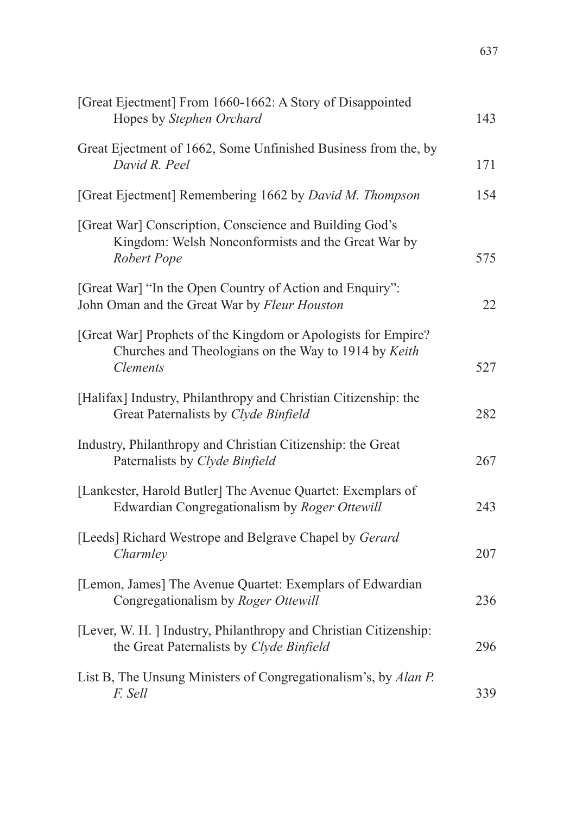| [Great Ejectment] From 1660-1662: A Story of Disappointed<br>Hopes by Stephen Orchard                                                    | 143 |
|------------------------------------------------------------------------------------------------------------------------------------------|-----|
| Great Ejectment of 1662, Some Unfinished Business from the, by<br>David R. Peel                                                          | 171 |
| [Great Ejectment] Remembering 1662 by David M. Thompson                                                                                  | 154 |
| [Great War] Conscription, Conscience and Building God's<br>Kingdom: Welsh Nonconformists and the Great War by<br>Robert Pope             | 575 |
| [Great War] "In the Open Country of Action and Enquiry":<br>John Oman and the Great War by Fleur Houston                                 | 22  |
| [Great War] Prophets of the Kingdom or Apologists for Empire?<br>Churches and Theologians on the Way to 1914 by Keith<br><b>Clements</b> | 527 |
| [Halifax] Industry, Philanthropy and Christian Citizenship: the<br>Great Paternalists by Clyde Binfield                                  | 282 |
| Industry, Philanthropy and Christian Citizenship: the Great<br>Paternalists by Clyde Binfield                                            | 267 |
| [Lankester, Harold Butler] The Avenue Quartet: Exemplars of<br>Edwardian Congregationalism by Roger Ottewill                             | 243 |
| [Leeds] Richard Westrope and Belgrave Chapel by Gerard<br>Charmley                                                                       | 207 |
| [Lemon, James] The Avenue Quartet: Exemplars of Edwardian<br>Congregationalism by Roger Ottewill                                         | 236 |
| [Lever, W. H. ] Industry, Philanthropy and Christian Citizenship:<br>the Great Paternalists by Clyde Binfield                            | 296 |
| List B, The Unsung Ministers of Congregationalism's, by Alan P.<br>F. Sell                                                               | 339 |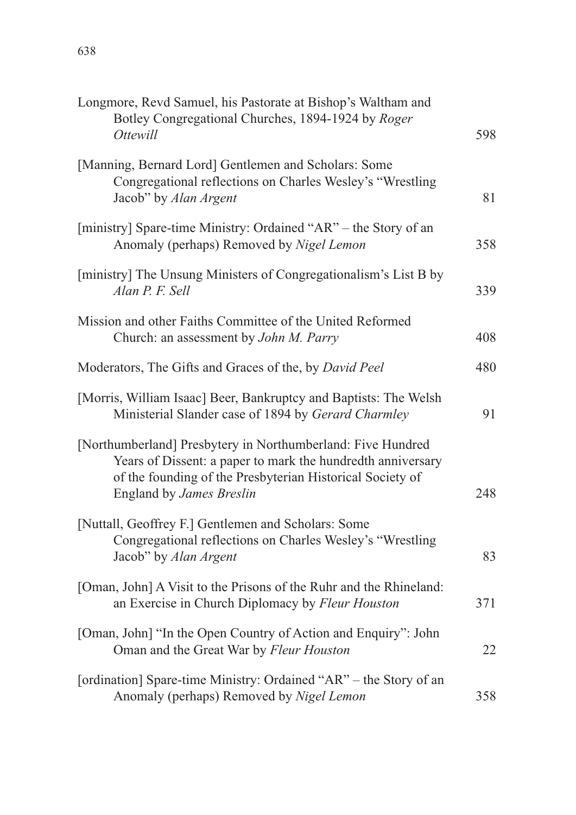| Longmore, Revd Samuel, his Pastorate at Bishop's Waltham and<br>Botley Congregational Churches, 1894-1924 by Roger<br><i>Ottewill</i>                                                                               | 598 |
|---------------------------------------------------------------------------------------------------------------------------------------------------------------------------------------------------------------------|-----|
| [Manning, Bernard Lord] Gentlemen and Scholars: Some<br>Congregational reflections on Charles Wesley's "Wrestling<br>Jacob" by Alan Argent                                                                          | 81  |
| [ministry] Spare-time Ministry: Ordained "AR" – the Story of an<br>Anomaly (perhaps) Removed by Nigel Lemon                                                                                                         | 358 |
| [ministry] The Unsung Ministers of Congregationalism's List B by<br>Alan P. F. Sell                                                                                                                                 | 339 |
| Mission and other Faiths Committee of the United Reformed<br>Church: an assessment by John M. Parry                                                                                                                 | 408 |
| Moderators, The Gifts and Graces of the, by David Peel                                                                                                                                                              | 480 |
| [Morris, William Isaac] Beer, Bankruptcy and Baptists: The Welsh<br>Ministerial Slander case of 1894 by Gerard Charmley                                                                                             | 91  |
| [Northumberland] Presbytery in Northumberland: Five Hundred<br>Years of Dissent: a paper to mark the hundredth anniversary<br>of the founding of the Presbyterian Historical Society of<br>England by James Breslin | 248 |
| [Nuttall, Geoffrey F.] Gentlemen and Scholars: Some<br>Congregational reflections on Charles Wesley's "Wrestling<br>Jacob" by Alan Argent                                                                           | 83  |
| [Oman, John] A Visit to the Prisons of the Ruhr and the Rhineland:<br>an Exercise in Church Diplomacy by Fleur Houston                                                                                              | 371 |
| [Oman, John] "In the Open Country of Action and Enquiry": John<br>Oman and the Great War by Fleur Houston                                                                                                           | 22  |
| [ordination] Spare-time Ministry: Ordained "AR" - the Story of an<br>Anomaly (perhaps) Removed by Nigel Lemon                                                                                                       | 358 |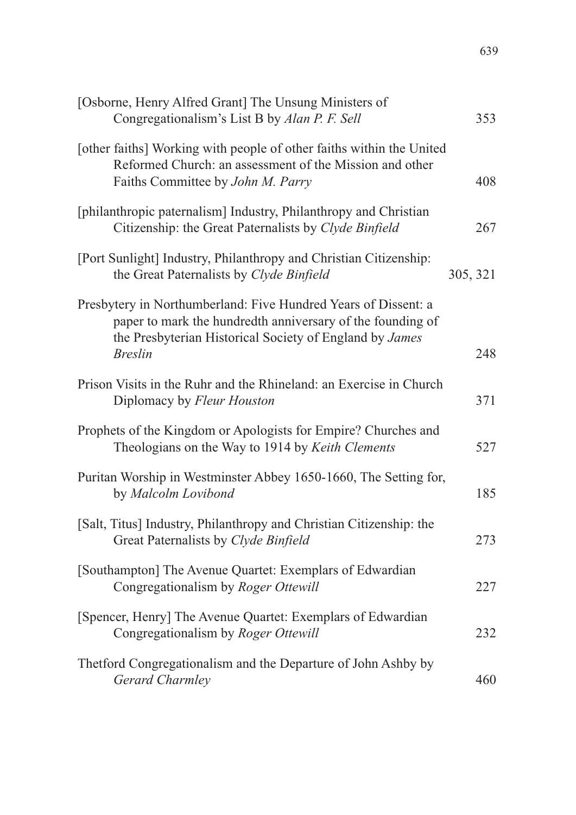| [Osborne, Henry Alfred Grant] The Unsung Ministers of<br>Congregationalism's List B by Alan P. F. Sell                                                                                                    | 353      |
|-----------------------------------------------------------------------------------------------------------------------------------------------------------------------------------------------------------|----------|
| [other faiths] Working with people of other faiths within the United<br>Reformed Church: an assessment of the Mission and other<br>Faiths Committee by John M. Parry                                      | 408      |
| [philanthropic paternalism] Industry, Philanthropy and Christian<br>Citizenship: the Great Paternalists by Clyde Binfield                                                                                 | 267      |
| [Port Sunlight] Industry, Philanthropy and Christian Citizenship:<br>the Great Paternalists by Clyde Binfield                                                                                             | 305, 321 |
| Presbytery in Northumberland: Five Hundred Years of Dissent: a<br>paper to mark the hundredth anniversary of the founding of<br>the Presbyterian Historical Society of England by James<br><b>Breslin</b> | 248      |
| Prison Visits in the Ruhr and the Rhineland: an Exercise in Church<br>Diplomacy by Fleur Houston                                                                                                          | 371      |
| Prophets of the Kingdom or Apologists for Empire? Churches and<br>Theologians on the Way to 1914 by Keith Clements                                                                                        | 527      |
| Puritan Worship in Westminster Abbey 1650-1660, The Setting for,<br>by Malcolm Lovibond                                                                                                                   | 185      |
| [Salt, Titus] Industry, Philanthropy and Christian Citizenship: the<br>Great Paternalists by Clyde Binfield                                                                                               | 273      |
| [Southampton] The Avenue Quartet: Exemplars of Edwardian<br>Congregationalism by Roger Ottewill                                                                                                           | 227      |
| [Spencer, Henry] The Avenue Quartet: Exemplars of Edwardian<br>Congregationalism by Roger Ottewill                                                                                                        | 232      |
| Thetford Congregationalism and the Departure of John Ashby by<br>Gerard Charmley                                                                                                                          | 460      |